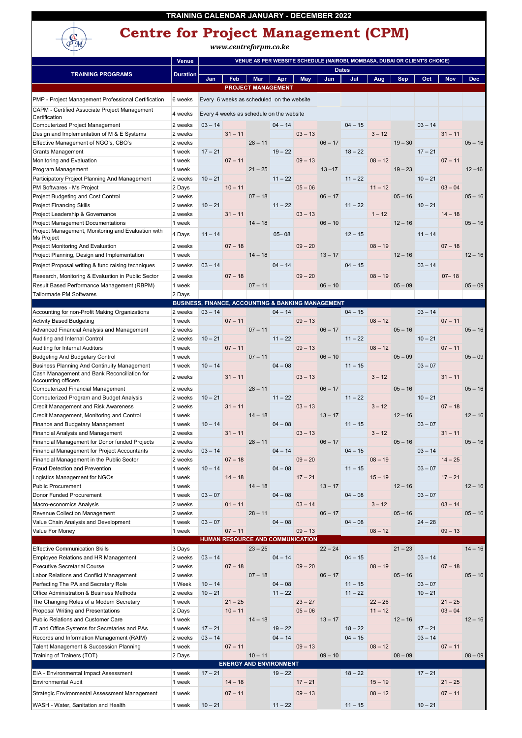|                                                                                                | <b>Venue</b>                                       | VENUE AS PER WEBSITE SCHEDULE (NAIROBI, MOMBASA, DUBAI OR CLIENT'S CHOICE) |            |                                            |           |                                                      |           |              |           |            |           |            |           |
|------------------------------------------------------------------------------------------------|----------------------------------------------------|----------------------------------------------------------------------------|------------|--------------------------------------------|-----------|------------------------------------------------------|-----------|--------------|-----------|------------|-----------|------------|-----------|
| <b>TRAINING PROGRAMS</b>                                                                       | <b>Duration</b>                                    |                                                                            |            |                                            |           |                                                      |           | <b>Dates</b> |           |            |           |            |           |
|                                                                                                |                                                    | Jan                                                                        | <b>Feb</b> | <b>Mar</b>                                 | Apr       | <b>May</b>                                           | Jun       | Jul          | Aug       | <b>Sep</b> | Oct       | <b>Nov</b> | Dec       |
|                                                                                                |                                                    |                                                                            |            | <b>PROJECT MANAGEMENT</b>                  |           |                                                      |           |              |           |            |           |            |           |
| PMP - Project Management Professional Certification                                            | 6 weeks                                            |                                                                            |            | Every 6 weeks as scheduled on the website  |           |                                                      |           |              |           |            |           |            |           |
| CAPM - Certified Associate Project Management                                                  | 4 weeks                                            |                                                                            |            | Every 4 weeks as schedule on the website   |           |                                                      |           |              |           |            |           |            |           |
| Certification<br>Computerized Project Management                                               | 2 weeks                                            | $03 - 14$                                                                  |            |                                            | $04 - 14$ |                                                      |           | $04 - 15$    |           |            | $03 - 14$ |            |           |
| Design and Implementation of M & E Systems                                                     | 2 weeks                                            |                                                                            | $31 - 11$  |                                            |           | $03 - 13$                                            |           |              | $3 - 12$  |            |           | $31 - 11$  |           |
| Effective Management of NGO's, CBO's                                                           | 2 weeks                                            |                                                                            |            | $28 - 11$                                  |           |                                                      | $06 - 17$ |              |           | $19 - 30$  |           |            | $05 - 16$ |
| <b>Grants Management</b>                                                                       | 1 week                                             | $17 - 21$                                                                  |            |                                            | $19 - 22$ |                                                      |           | $18 - 22$    |           |            | $17 - 21$ |            |           |
| Monitoring and Evaluation                                                                      | 1 week                                             |                                                                            | $07 - 11$  |                                            |           | $09 - 13$                                            |           |              | $08 - 12$ |            |           | $07 - 11$  |           |
| Program Management                                                                             | 1 week                                             |                                                                            |            | $21 - 25$                                  |           |                                                      | $13 - 17$ |              |           | $19 - 23$  |           |            | $12 - 16$ |
| Participatory Project Planning And Management                                                  | 2 weeks                                            | $10 - 21$                                                                  |            |                                            | $11 - 22$ |                                                      |           | $11 - 22$    |           |            | $10 - 21$ |            |           |
| PM Softwares - Ms Project                                                                      | 2 Days                                             |                                                                            | $10 - 11$  |                                            |           | $05 - 06$                                            |           |              | $11 - 12$ |            |           | $03 - 04$  |           |
| Project Budgeting and Cost Control                                                             | 2 weeks                                            |                                                                            |            | $07 - 18$                                  |           |                                                      | $06 - 17$ |              |           | $05 - 16$  |           |            | $05 - 16$ |
| <b>Project Financing Skills</b>                                                                | 2 weeks                                            | $10 - 21$                                                                  |            |                                            | $11 - 22$ |                                                      |           | $11 - 22$    |           |            | $10 - 21$ |            |           |
| Project Leadership & Governance                                                                | 2 weeks                                            |                                                                            | $31 - 11$  |                                            |           | $03 - 13$                                            |           |              | $1 - 12$  |            |           | $14 - 18$  |           |
| <b>Project Management Documentations</b><br>Project Management, Monitoring and Evaluation with | 1 week                                             |                                                                            |            | $14 - 18$                                  |           |                                                      | $06 - 10$ |              |           | $12 - 16$  |           |            | $05 - 16$ |
| Ms Project                                                                                     | 4 Days                                             | $11 - 14$                                                                  |            |                                            | $05 - 08$ |                                                      |           | $12 - 15$    |           |            | $11 - 14$ |            |           |
| Project Monitoring And Evaluation                                                              | 2 weeks                                            |                                                                            | $07 - 18$  |                                            |           | $09 - 20$                                            |           |              | $08 - 19$ |            |           | $07 - 18$  |           |
| Project Planning, Design and Implementation                                                    | 1 week                                             |                                                                            |            | $14 - 18$                                  |           |                                                      | $13 - 17$ |              |           | $12 - 16$  |           |            | $12 - 16$ |
| Project Proposal writing & fund raising techniques                                             | 2 weeks                                            | $03 - 14$                                                                  |            |                                            | $04 - 14$ |                                                      |           | $04 - 15$    |           |            | $03 - 14$ |            |           |
| Research, Monitoring & Evaluation in Public Sector                                             | 2 weeks                                            |                                                                            | $07 - 18$  |                                            |           | $09 - 20$                                            |           |              | $08 - 19$ |            |           | $07 - 18$  |           |
| Result Based Performance Management (RBPM)                                                     | 1 week                                             |                                                                            |            | $07 - 11$                                  |           |                                                      | $06 - 10$ |              |           | $05 - 09$  |           |            | $05 - 09$ |
| Tailormade PM Softwares                                                                        | 2 Days                                             |                                                                            |            |                                            |           |                                                      |           |              |           |            |           |            |           |
|                                                                                                | BUSINESS, FINANCE, ACCOUNTING & BANKING MANAGEMENT |                                                                            |            |                                            |           |                                                      |           |              |           |            |           |            |           |
| Accounting for non-Profit Making Organizations                                                 | 2 weeks                                            | $03 - 14$                                                                  |            |                                            | $04 - 14$ |                                                      |           | $04 - 15$    |           |            | $03 - 14$ |            |           |
| <b>Activity Based Budgeting</b>                                                                | 1 week                                             |                                                                            | $07 - 11$  |                                            |           | $09 - 13$                                            |           |              | $08 - 12$ |            |           | $07 - 11$  |           |
| Advanced Financial Analysis and Management                                                     | 2 weeks                                            |                                                                            |            | $07 - 11$                                  |           |                                                      | $06 - 17$ |              |           | $05 - 16$  |           |            | $05 - 16$ |
| Auditing and Internal Control                                                                  | 2 weeks                                            | $10 - 21$                                                                  |            |                                            | $11 - 22$ |                                                      |           | $11 - 22$    |           |            | $10 - 21$ |            |           |
| Auditing for Internal Auditors<br><b>Budgeting And Budgetary Control</b>                       | 1 week<br>1 week                                   |                                                                            | $07 - 11$  | $07 - 11$                                  |           | $09 - 13$                                            | $06 - 10$ |              | $08 - 12$ | $05 - 09$  |           | $07 - 11$  | $05 - 09$ |
| <b>Business Planning And Continuity Management</b>                                             | 1 week                                             | $10 - 14$                                                                  |            |                                            | $04 - 08$ |                                                      |           | $11 - 15$    |           |            | $03 - 07$ |            |           |
| Cash Management and Bank Reconciliation for                                                    |                                                    |                                                                            |            |                                            |           |                                                      |           |              |           |            |           |            |           |
| Accounting officers                                                                            | 2 weeks                                            |                                                                            | $31 - 11$  |                                            |           | $03 - 13$                                            |           |              | $3 - 12$  |            |           | $31 - 11$  |           |
| <b>Computerized Financial Management</b>                                                       | 2 weeks                                            |                                                                            |            | $28 - 11$                                  |           |                                                      | $06 - 17$ |              |           | $05 - 16$  |           |            | $05 - 16$ |
| Computerized Program and Budget Analysis                                                       | 2 weeks                                            | $10 - 21$                                                                  |            |                                            | $11 - 22$ |                                                      |           | $11 - 22$    |           |            | $10 - 21$ |            |           |
| <b>Credit Management and Risk Awareness</b>                                                    | 2 weeks                                            |                                                                            | $31 - 11$  |                                            |           | $03 - 13$                                            |           |              | $3 - 12$  |            |           | $07 - 18$  |           |
| Credit Management, Monitoring and Control<br>Finance and Budgetary Management                  | 1 week                                             | $10 - 14$                                                                  |            | $14 - 18$                                  | $04 - 08$ |                                                      | $13 - 17$ | $11 - 15$    |           | $12 - 16$  | $03 - 07$ |            | $12 - 16$ |
| <b>Financial Analysis and Management</b>                                                       | 1 week<br>2 weeks                                  |                                                                            | $31 - 11$  |                                            |           | $03 - 13$                                            |           |              | $3 - 12$  |            |           | $31 - 11$  |           |
| Financial Management for Donor funded Projects                                                 | 2 weeks                                            |                                                                            |            | $28 - 11$                                  |           |                                                      | $06 - 17$ |              |           | $05 - 16$  |           |            | $05 - 16$ |
| Financial Management for Project Accountants                                                   | 2 weeks                                            | $03 - 14$                                                                  |            |                                            | $04 - 14$ |                                                      |           | $04 - 15$    |           |            | $03 - 14$ |            |           |
| Financial Management in the Public Sector                                                      | 2 weeks                                            |                                                                            | $07 - 18$  |                                            |           | $09 - 20$                                            |           |              | $08 - 19$ |            |           | $14 - 25$  |           |
| <b>Fraud Detection and Prevention</b>                                                          | 1 week                                             | $10 - 14$                                                                  |            |                                            | $04 - 08$ |                                                      |           | $11 - 15$    |           |            | $03 - 07$ |            |           |
| Logistics Management for NGOs                                                                  | 1 week                                             |                                                                            | $14 - 18$  |                                            |           | $17 - 21$                                            |           |              | $15 - 19$ |            |           | $17 - 21$  |           |
| <b>Public Procurement</b>                                                                      | 1 week                                             |                                                                            |            | $14 - 18$                                  |           |                                                      | $13 - 17$ |              |           | $12 - 16$  |           |            | $12 - 16$ |
| Donor Funded Procurement                                                                       | 1 week                                             | $03 - 07$                                                                  |            |                                            | $04 - 08$ |                                                      |           | $04 - 08$    |           |            | $03 - 07$ |            |           |
| Macro-economics Analysis                                                                       | 2 weeks                                            |                                                                            | $01 - 11$  |                                            |           | $03 - 14$                                            |           |              | $3 - 12$  |            |           | $03 - 14$  |           |
| Revenue Collection Management                                                                  | 2 weeks                                            |                                                                            |            | $28 - 11$                                  |           |                                                      | $06 - 17$ |              |           | $05 - 16$  |           |            | $05 - 16$ |
| Value Chain Analysis and Development                                                           | 1 week                                             | $03 - 07$                                                                  |            |                                            | $04 - 08$ |                                                      |           | $04 - 08$    |           |            | $24 - 28$ |            |           |
| Value For Money                                                                                | 1 week                                             |                                                                            | $07 - 11$  |                                            |           | $09 - 13$<br><b>HUMAN RESOURCE AND COMMUNICATION</b> |           |              | $08 - 12$ |            |           | $09 - 13$  |           |
| <b>Effective Communication Skills</b>                                                          | 3 Days                                             |                                                                            |            | $23 - 25$                                  |           |                                                      | $22 - 24$ |              |           | $21 - 23$  |           |            | $14 - 16$ |
| <b>Employee Relations and HR Management</b>                                                    | 2 weeks                                            | $03 - 14$                                                                  |            |                                            | $04 - 14$ |                                                      |           | $04 - 15$    |           |            | $03 - 14$ |            |           |
| <b>Executive Secretarial Course</b>                                                            | 2 weeks                                            |                                                                            | $07 - 18$  |                                            |           | $09 - 20$                                            |           |              | $08 - 19$ |            |           | $07 - 18$  |           |
| Labor Relations and Conflict Management                                                        | 2 weeks                                            |                                                                            |            | $07 - 18$                                  |           |                                                      | $06 - 17$ |              |           | $05 - 16$  |           |            | $05 - 16$ |
| Perfecting The PA and Secretary Role                                                           | 1 Week                                             | $10 - 14$                                                                  |            |                                            | $04 - 08$ |                                                      |           | $11 - 15$    |           |            | $03 - 07$ |            |           |
| <b>Office Administration &amp; Business Methods</b>                                            | 2 weeks                                            | $10 - 21$                                                                  |            |                                            | $11 - 22$ |                                                      |           | $11 - 22$    |           |            | $10 - 21$ |            |           |
| The Changing Roles of a Modern Secretary                                                       | 1 week                                             |                                                                            | $21 - 25$  |                                            |           | $23 - 27$                                            |           |              | $22 - 26$ |            |           | $21 - 25$  |           |
| Proposal Writing and Presentations                                                             | 2 Days                                             |                                                                            | $10 - 11$  |                                            |           | $05 - 06$                                            |           |              | $11 - 12$ |            |           | $03 - 04$  |           |
| <b>Public Relations and Customer Care</b>                                                      | 1 week                                             |                                                                            |            | $14 - 18$                                  |           |                                                      | $13 - 17$ |              |           | $12 - 16$  |           |            | $12 - 16$ |
| IT and Office Systems for Secretaries and PAs                                                  | 1 week                                             | $17 - 21$                                                                  |            |                                            | $19 - 22$ |                                                      |           | $18 - 22$    |           |            | $17 - 21$ |            |           |
| Records and Information Management (RAIM)                                                      | 2 weeks                                            | $03 - 14$                                                                  |            |                                            | $04 - 14$ |                                                      |           | $04 - 15$    |           |            | $03 - 14$ |            |           |
| Talent Management & Succession Planning                                                        | 1 week                                             |                                                                            | $07 - 11$  |                                            |           | $09 - 13$                                            |           |              | $08 - 12$ | $08 - 09$  |           | $07 - 11$  |           |
| Training of Trainers (TOT)                                                                     | 2 Days                                             |                                                                            |            | $10 - 11$<br><b>ENERGY AND ENVIRONMENT</b> |           |                                                      | $09 - 10$ |              |           |            |           |            | $08 - 09$ |
| EIA - Environmental Impact Assessment                                                          | 1 week                                             | $17 - 21$                                                                  |            |                                            | $19 - 22$ |                                                      |           | $18 - 22$    |           |            | $17 - 21$ |            |           |
| <b>Environmental Audit</b>                                                                     | 1 week                                             |                                                                            | $14 - 18$  |                                            |           | $17 - 21$                                            |           |              | $15 - 19$ |            |           | $21 - 25$  |           |
| Strategic Environmental Assessment Management                                                  | 1 week                                             |                                                                            | $07 - 11$  |                                            |           | $09 - 13$                                            |           |              | $08 - 12$ |            |           | $07 - 11$  |           |
|                                                                                                |                                                    |                                                                            |            |                                            |           |                                                      |           |              |           |            |           |            |           |
| WASH - Water, Sanitation and Health                                                            | 1 week                                             | $10 - 21$                                                                  |            |                                            | $11 - 22$ |                                                      |           | $11 - 15$    |           |            | $10 - 21$ |            |           |



## **Centre for Project Management (CPM)**

*www.centreforpm.co.ke*